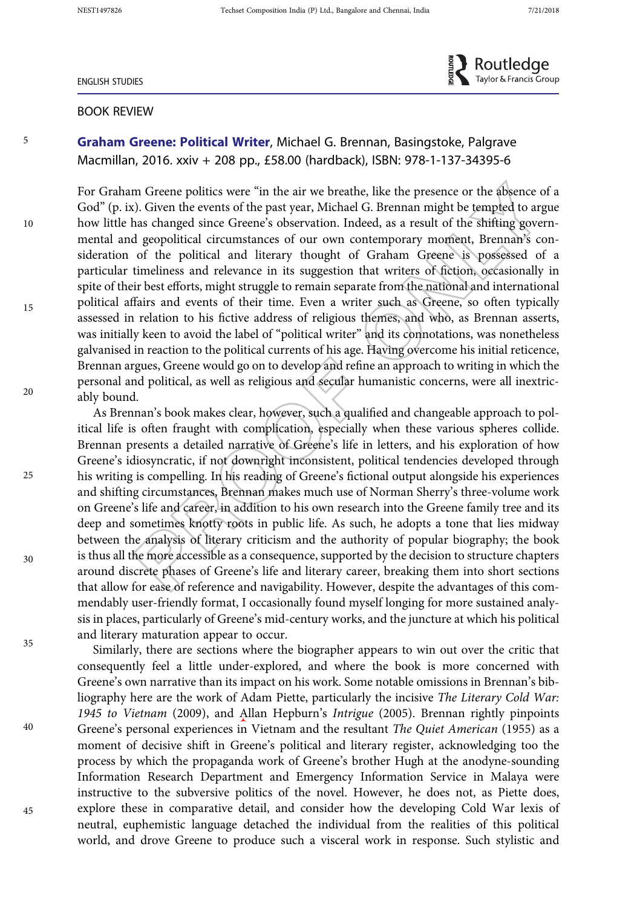Routledge Taylor & Francis Group

#### ENGLISH STUDIES

#### BOOK REVIEW

# 5

10

15

 $20$ 

25

30

35

40

45

## Graham Greene: Political Writer, Michael G. Brennan, Basingstoke, Palgrave Macmillan, 2016. xxiv + 208 pp., £58.00 (hardback), ISBN: 978-1-137-34395-6

For Graham Greene politics were "in the air we breathe, like the presence or the absence of a God" (p. ix). Given the events of the past year, Michael G. Brennan might be tempted to argue how little has changed since Greene's observation. Indeed, as a result of the shifting governmental and geopolitical circumstances of our own contemporary moment, Brennan's consideration of the political and literary thought of Graham Greene is possessed of a particular timeliness and relevance in its suggestion that writers of fiction, occasionally in spite of their best efforts, might struggle to remain separate from the national and international political affairs and events of their time. Even a writer such as Greene, so often typically assessed in relation to his fictive address of religious themes, and who, as Brennan asserts, was initially keen to avoid the label of "political writer" and its connotations, was nonetheless galvanised in reaction to the political currents of his age. Having overcome his initial reticence, Brennan argues, Greene would go on to develop and refine an approach to writing in which the personal and political, as well as religious and secular humanistic concerns, were all inextricably bound.

As Brennan's book makes clear, however, such a qualified and changeable approach to political life is often fraught with complication, especially when these various spheres collide. Brennan presents a detailed narrative of Greene's life in letters, and his exploration of how Greene's idiosyncratic, if not downright inconsistent, political tendencies developed through his writing is compelling. In his reading of Greene's fictional output alongside his experiences and shifting circumstances, Brennan makes much use of Norman Sherry's three-volume work on Greene's life and career, in addition to his own research into the Greene family tree and its deep and sometimes knotty roots in public life. As such, he adopts a tone that lies midway between the analysis of literary criticism and the authority of popular biography; the book is thus all the more accessible as a consequence, supported by the decision to structure chapters around discrete phases of Greene's life and literary career, breaking them into short sections that allow for ease of reference and navigability. However, despite the advantages of this commendably user-friendly format, I occasionally found myself longing for more sustained analysis in places, particularly of Greene's mid-century works, and the juncture at which his political and literary maturation appear to occur.

Similarly, there are sections where the biographer appears to win out over the critic that consequently feel a little under-explored, and where the book is more concerned with Greene's own narrative than its impact on his work. Some notable omissions in Brennan's bibliography here are the work of Adam Piette, particularly the incisive The Literary Cold War: 1945 to Vietnam (2009), and Allan Hepburn's Intrigue (2005). Brennan rightly pinpoints Greene's personal experiences in Vietnam and the resultant The Quiet American (1955) as a moment of decisive shift in Greene's political and literary register, acknowledging too the process by which the propaganda work of Greene's brother Hugh at the anodyne-sounding Information Research Department and Emergency Information Service in Malaya were instructive to the subversive politics of the novel. However, he does not, as Piette does, explore these in comparative detail, and consider how the developing Cold War lexis of neutral, euphemistic language detached the individual from the realities of this political world, and drove Greene to produce such a visceral work in response. Such stylistic and